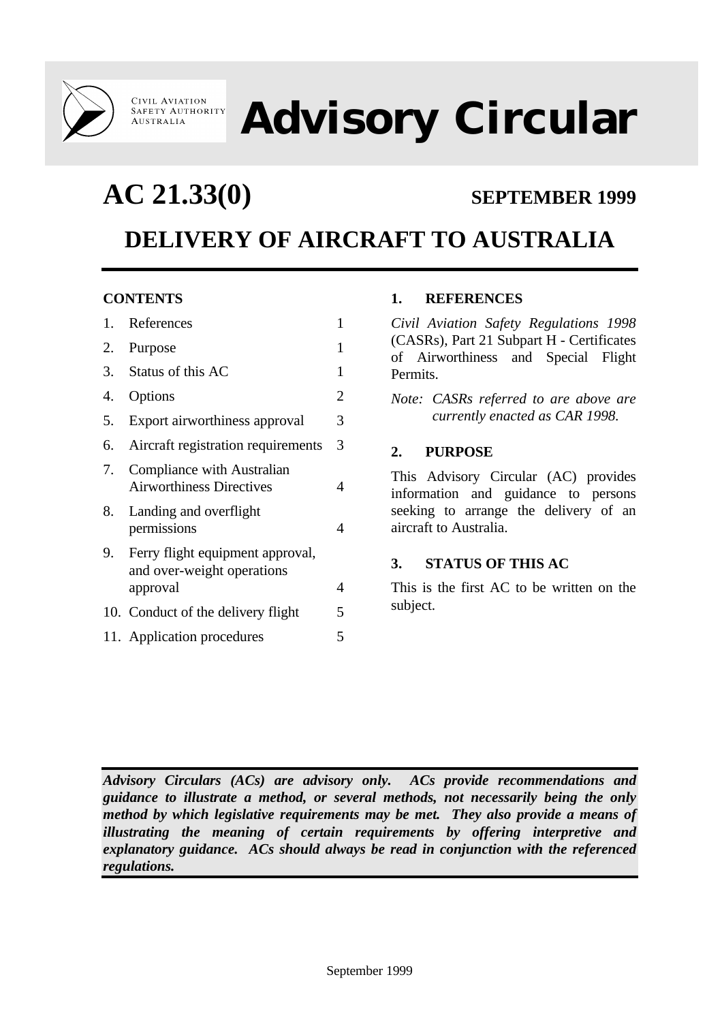

**CIVIL AVIATION<br>SAFETY AUTHORITY AUSTRALIA** 

**Advisory Circular**

# **AC 21.33(0) SEPTEMBER 1999**

# **DELIVERY OF AIRCRAFT TO AUSTRALIA**

### **CONTENTS**

| 1. | References                                                     | 1 |
|----|----------------------------------------------------------------|---|
| 2. | Purpose                                                        | 1 |
| 3. | Status of this AC                                              | 1 |
| 4. | Options                                                        | 2 |
| 5. | Export airworthiness approval                                  | 3 |
| 6. | Aircraft registration requirements                             | 3 |
| 7. | Compliance with Australian<br><b>Airworthiness Directives</b>  | 4 |
| 8. | Landing and overflight<br>permissions                          | 4 |
| 9. | Ferry flight equipment approval,<br>and over-weight operations |   |
|    | approval                                                       | 4 |
|    | 10. Conduct of the delivery flight                             | 5 |
|    | 11. Application procedures                                     | 5 |
|    |                                                                |   |

# **1. REFERENCES**

*Civil Aviation Safety Regulations 1998* (CASRs), Part 21 Subpart H - Certificates of Airworthiness and Special Flight Permits.

*Note: CASRs referred to are above are currently enacted as CAR 1998.*

## **2. PURPOSE**

This Advisory Circular (AC) provides information and guidance to persons seeking to arrange the delivery of an aircraft to Australia.

### **3. STATUS OF THIS AC**

This is the first AC to be written on the subject.

*Advisory Circulars (ACs) are advisory only. ACs provide recommendations and guidance to illustrate a method, or several methods, not necessarily being the only method by which legislative requirements may be met. They also provide a means of illustrating the meaning of certain requirements by offering interpretive and explanatory guidance. ACs should always be read in conjunction with the referenced regulations.*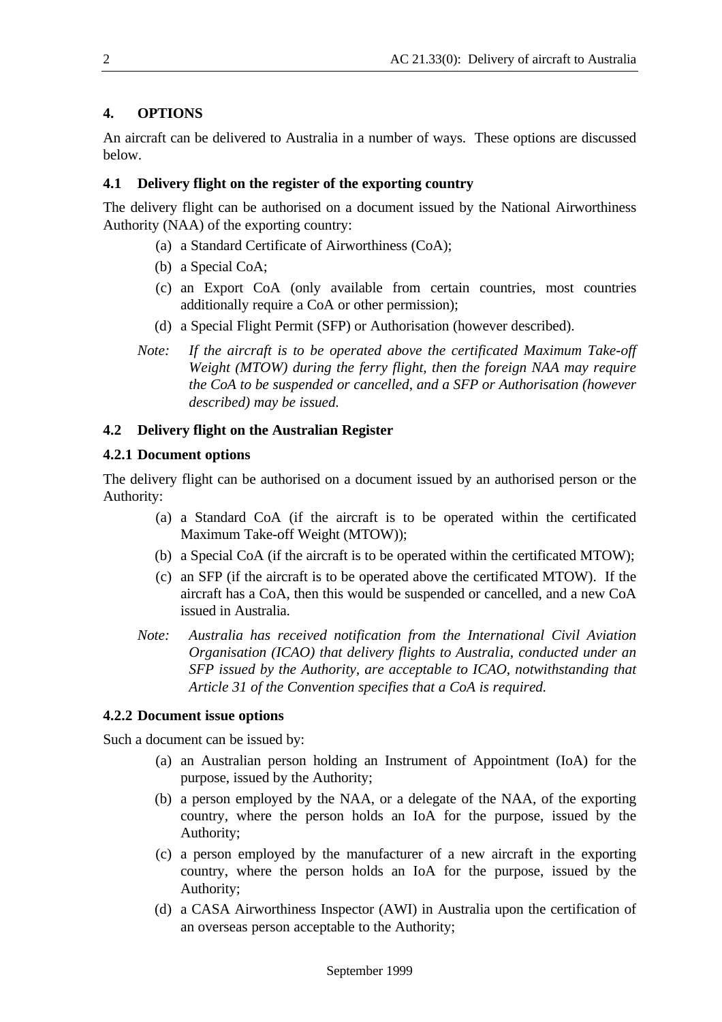#### **4. OPTIONS**

An aircraft can be delivered to Australia in a number of ways. These options are discussed below.

#### **4.1 Delivery flight on the register of the exporting country**

The delivery flight can be authorised on a document issued by the National Airworthiness Authority (NAA) of the exporting country:

- (a) a Standard Certificate of Airworthiness (CoA);
- (b) a Special CoA;
- (c) an Export CoA (only available from certain countries, most countries additionally require a CoA or other permission);
- (d) a Special Flight Permit (SFP) or Authorisation (however described).
- *Note: If the aircraft is to be operated above the certificated Maximum Take-off Weight (MTOW) during the ferry flight, then the foreign NAA may require the CoA to be suspended or cancelled, and a SFP or Authorisation (however described) may be issued.*

#### **4.2 Delivery flight on the Australian Register**

#### **4.2.1 Document options**

The delivery flight can be authorised on a document issued by an authorised person or the Authority:

- (a) a Standard CoA (if the aircraft is to be operated within the certificated Maximum Take-off Weight (MTOW));
- (b) a Special CoA (if the aircraft is to be operated within the certificated MTOW);
- (c) an SFP (if the aircraft is to be operated above the certificated MTOW). If the aircraft has a CoA, then this would be suspended or cancelled, and a new CoA issued in Australia.
- *Note: Australia has received notification from the International Civil Aviation Organisation (ICAO) that delivery flights to Australia, conducted under an SFP issued by the Authority, are acceptable to ICAO, notwithstanding that Article 31 of the Convention specifies that a CoA is required.*

#### **4.2.2 Document issue options**

Such a document can be issued by:

- (a) an Australian person holding an Instrument of Appointment (IoA) for the purpose, issued by the Authority;
- (b) a person employed by the NAA, or a delegate of the NAA, of the exporting country, where the person holds an IoA for the purpose, issued by the Authority;
- (c) a person employed by the manufacturer of a new aircraft in the exporting country, where the person holds an IoA for the purpose, issued by the Authority;
- (d) a CASA Airworthiness Inspector (AWI) in Australia upon the certification of an overseas person acceptable to the Authority;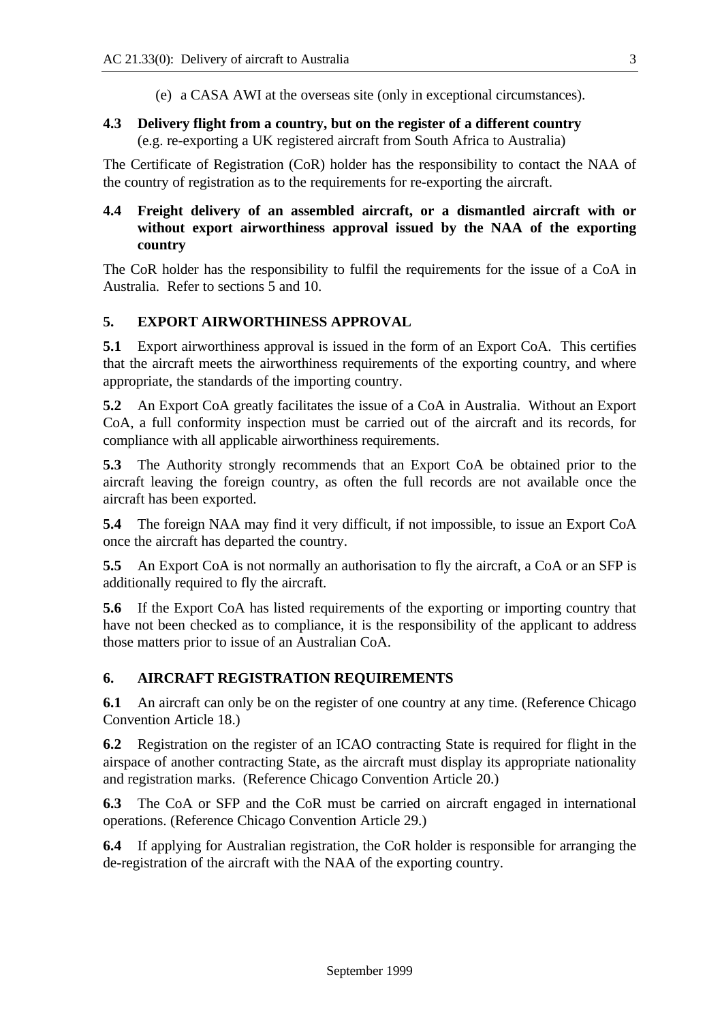(e) a CASA AWI at the overseas site (only in exceptional circumstances).

#### **4.3 Delivery flight from a country, but on the register of a different country** (e.g. re-exporting a UK registered aircraft from South Africa to Australia)

The Certificate of Registration (CoR) holder has the responsibility to contact the NAA of the country of registration as to the requirements for re-exporting the aircraft.

#### **4.4 Freight delivery of an assembled aircraft, or a dismantled aircraft with or without export airworthiness approval issued by the NAA of the exporting country**

The CoR holder has the responsibility to fulfil the requirements for the issue of a CoA in Australia. Refer to sections 5 and 10.

### **5. EXPORT AIRWORTHINESS APPROVAL**

**5.1** Export airworthiness approval is issued in the form of an Export CoA. This certifies that the aircraft meets the airworthiness requirements of the exporting country, and where appropriate, the standards of the importing country.

**5.2** An Export CoA greatly facilitates the issue of a CoA in Australia. Without an Export CoA, a full conformity inspection must be carried out of the aircraft and its records, for compliance with all applicable airworthiness requirements.

**5.3** The Authority strongly recommends that an Export CoA be obtained prior to the aircraft leaving the foreign country, as often the full records are not available once the aircraft has been exported.

**5.4** The foreign NAA may find it very difficult, if not impossible, to issue an Export CoA once the aircraft has departed the country.

**5.5** An Export CoA is not normally an authorisation to fly the aircraft, a CoA or an SFP is additionally required to fly the aircraft.

**5.6** If the Export CoA has listed requirements of the exporting or importing country that have not been checked as to compliance, it is the responsibility of the applicant to address those matters prior to issue of an Australian CoA.

#### **6. AIRCRAFT REGISTRATION REQUIREMENTS**

**6.1** An aircraft can only be on the register of one country at any time. (Reference Chicago Convention Article 18.)

**6.2** Registration on the register of an ICAO contracting State is required for flight in the airspace of another contracting State, as the aircraft must display its appropriate nationality and registration marks. (Reference Chicago Convention Article 20.)

**6.3** The CoA or SFP and the CoR must be carried on aircraft engaged in international operations. (Reference Chicago Convention Article 29.)

**6.4** If applying for Australian registration, the CoR holder is responsible for arranging the de-registration of the aircraft with the NAA of the exporting country.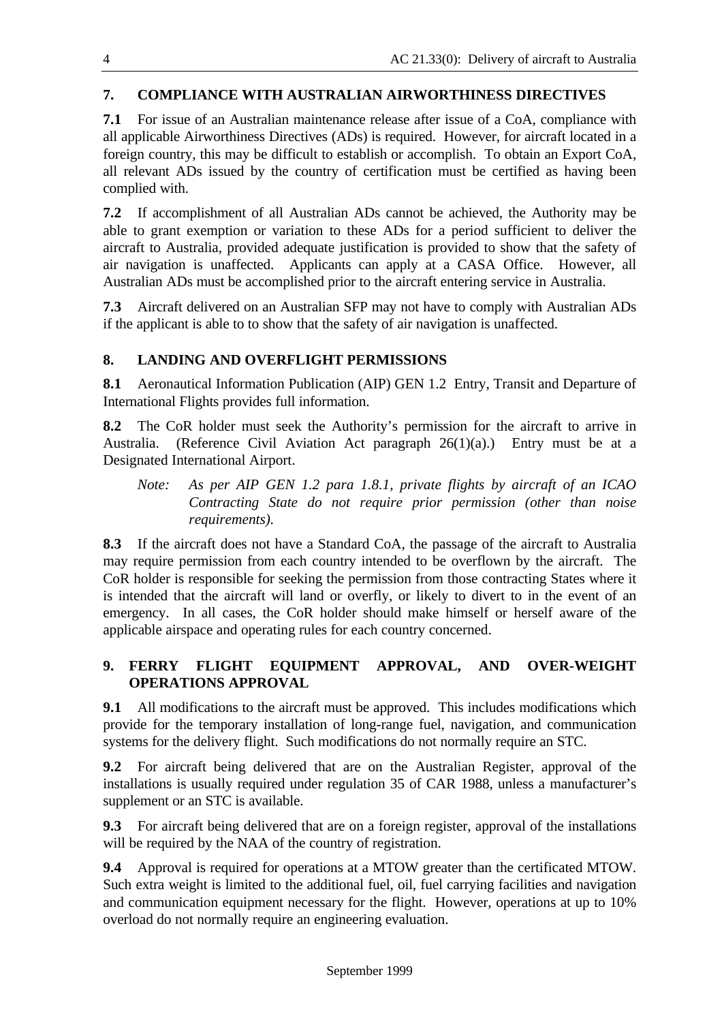# **7. COMPLIANCE WITH AUSTRALIAN AIRWORTHINESS DIRECTIVES**

**7.1** For issue of an Australian maintenance release after issue of a CoA, compliance with all applicable Airworthiness Directives (ADs) is required. However, for aircraft located in a foreign country, this may be difficult to establish or accomplish. To obtain an Export CoA, all relevant ADs issued by the country of certification must be certified as having been complied with.

**7.2** If accomplishment of all Australian ADs cannot be achieved, the Authority may be able to grant exemption or variation to these ADs for a period sufficient to deliver the aircraft to Australia, provided adequate justification is provided to show that the safety of air navigation is unaffected. Applicants can apply at a CASA Office. However, all Australian ADs must be accomplished prior to the aircraft entering service in Australia.

**7.3** Aircraft delivered on an Australian SFP may not have to comply with Australian ADs if the applicant is able to to show that the safety of air navigation is unaffected.

# **8. LANDING AND OVERFLIGHT PERMISSIONS**

**8.1** Aeronautical Information Publication (AIP) GEN 1.2 Entry, Transit and Departure of International Flights provides full information.

**8.2** The CoR holder must seek the Authority's permission for the aircraft to arrive in Australia. (Reference Civil Aviation Act paragraph 26(1)(a).) Entry must be at a Designated International Airport.

# *Note: As per AIP GEN 1.2 para 1.8.1, private flights by aircraft of an ICAO Contracting State do not require prior permission (other than noise requirements).*

**8.3** If the aircraft does not have a Standard CoA, the passage of the aircraft to Australia may require permission from each country intended to be overflown by the aircraft. The CoR holder is responsible for seeking the permission from those contracting States where it is intended that the aircraft will land or overfly, or likely to divert to in the event of an emergency. In all cases, the CoR holder should make himself or herself aware of the applicable airspace and operating rules for each country concerned.

# **9. FERRY FLIGHT EQUIPMENT APPROVAL, AND OVER-WEIGHT OPERATIONS APPROVAL**

**9.1** All modifications to the aircraft must be approved. This includes modifications which provide for the temporary installation of long-range fuel, navigation, and communication systems for the delivery flight. Such modifications do not normally require an STC.

**9.2** For aircraft being delivered that are on the Australian Register, approval of the installations is usually required under regulation 35 of CAR 1988, unless a manufacturer's supplement or an STC is available.

**9.3** For aircraft being delivered that are on a foreign register, approval of the installations will be required by the NAA of the country of registration.

**9.4** Approval is required for operations at a MTOW greater than the certificated MTOW. Such extra weight is limited to the additional fuel, oil, fuel carrying facilities and navigation and communication equipment necessary for the flight. However, operations at up to 10% overload do not normally require an engineering evaluation.